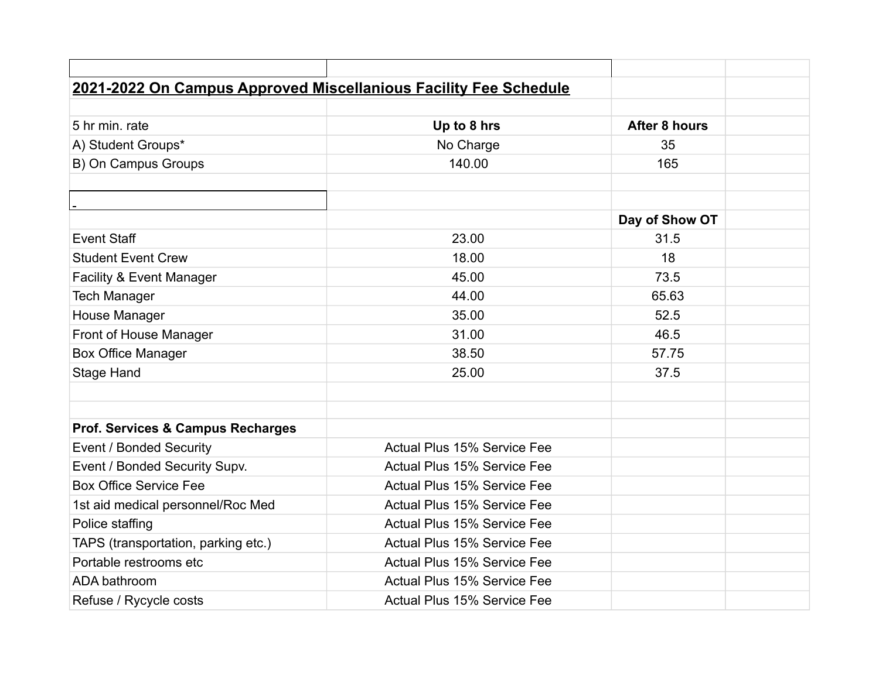| 2021-2022 On Campus Approved Miscellanious Facility Fee Schedule |                                    |                |  |
|------------------------------------------------------------------|------------------------------------|----------------|--|
|                                                                  |                                    |                |  |
| 5 hr min. rate                                                   | Up to 8 hrs                        | After 8 hours  |  |
| A) Student Groups*                                               | No Charge                          | 35             |  |
| B) On Campus Groups                                              | 140.00                             | 165            |  |
|                                                                  |                                    |                |  |
|                                                                  |                                    |                |  |
|                                                                  |                                    | Day of Show OT |  |
| <b>Event Staff</b>                                               | 23.00                              | 31.5           |  |
| <b>Student Event Crew</b>                                        | 18.00                              | 18             |  |
| Facility & Event Manager                                         | 45.00                              | 73.5           |  |
| <b>Tech Manager</b>                                              | 44.00                              | 65.63          |  |
| House Manager                                                    | 35.00                              | 52.5           |  |
| Front of House Manager                                           | 31.00                              | 46.5           |  |
| <b>Box Office Manager</b>                                        | 38.50                              | 57.75          |  |
| <b>Stage Hand</b>                                                | 25.00                              | 37.5           |  |
|                                                                  |                                    |                |  |
|                                                                  |                                    |                |  |
| <b>Prof. Services &amp; Campus Recharges</b>                     |                                    |                |  |
| Event / Bonded Security                                          | Actual Plus 15% Service Fee        |                |  |
| Event / Bonded Security Supv.                                    | Actual Plus 15% Service Fee        |                |  |
| <b>Box Office Service Fee</b>                                    | <b>Actual Plus 15% Service Fee</b> |                |  |
| 1st aid medical personnel/Roc Med                                | Actual Plus 15% Service Fee        |                |  |
| Police staffing                                                  | Actual Plus 15% Service Fee        |                |  |
| TAPS (transportation, parking etc.)                              | Actual Plus 15% Service Fee        |                |  |
| Portable restrooms etc                                           | <b>Actual Plus 15% Service Fee</b> |                |  |
| ADA bathroom                                                     | <b>Actual Plus 15% Service Fee</b> |                |  |
| Refuse / Rycycle costs                                           | <b>Actual Plus 15% Service Fee</b> |                |  |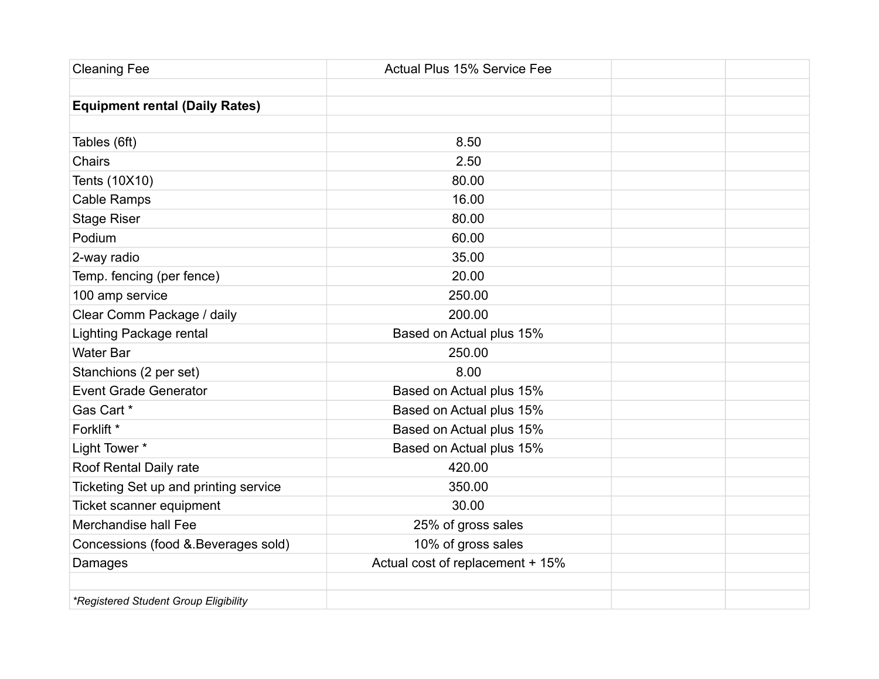| <b>Cleaning Fee</b>                   | <b>Actual Plus 15% Service Fee</b> |  |
|---------------------------------------|------------------------------------|--|
|                                       |                                    |  |
| <b>Equipment rental (Daily Rates)</b> |                                    |  |
|                                       |                                    |  |
| Tables (6ft)                          | 8.50                               |  |
| Chairs                                | 2.50                               |  |
| Tents (10X10)                         | 80.00                              |  |
| Cable Ramps                           | 16.00                              |  |
| <b>Stage Riser</b>                    | 80.00                              |  |
| Podium                                | 60.00                              |  |
| 2-way radio                           | 35.00                              |  |
| Temp. fencing (per fence)             | 20.00                              |  |
| 100 amp service                       | 250.00                             |  |
| Clear Comm Package / daily            | 200.00                             |  |
| Lighting Package rental               | Based on Actual plus 15%           |  |
| <b>Water Bar</b>                      | 250.00                             |  |
| Stanchions (2 per set)                | 8.00                               |  |
| <b>Event Grade Generator</b>          | Based on Actual plus 15%           |  |
| Gas Cart *                            | Based on Actual plus 15%           |  |
| Forklift *                            | Based on Actual plus 15%           |  |
| Light Tower *                         | Based on Actual plus 15%           |  |
| Roof Rental Daily rate                | 420.00                             |  |
| Ticketing Set up and printing service | 350.00                             |  |
| Ticket scanner equipment              | 30.00                              |  |
| Merchandise hall Fee                  | 25% of gross sales                 |  |
| Concessions (food & Beverages sold)   | 10% of gross sales                 |  |
| Damages                               | Actual cost of replacement + 15%   |  |
|                                       |                                    |  |
| *Registered Student Group Eligibility |                                    |  |